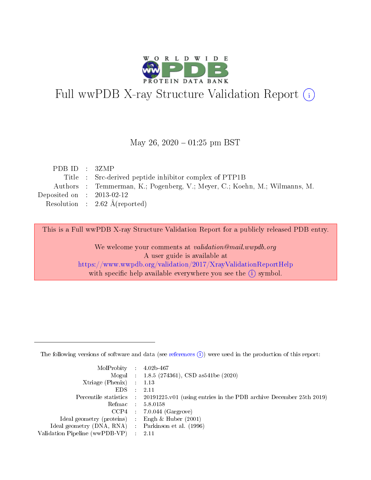

# Full wwPDB X-ray Structure Validation Report (i)

#### May 26,  $2020 - 01:25$  pm BST

| PDBID : 3ZMP                                                               |
|----------------------------------------------------------------------------|
| Title : Src-derived peptide inhibitor complex of PTP1B                     |
| Authors : Temmerman, K.; Pogenberg, V.; Meyer, C.; Koehn, M.; Wilmanns, M. |
| Deposited on : $2013-02-12$                                                |
| Resolution : $2.62 \text{ Å}$ (reported)                                   |
|                                                                            |

This is a Full wwPDB X-ray Structure Validation Report for a publicly released PDB entry.

We welcome your comments at validation@mail.wwpdb.org A user guide is available at <https://www.wwpdb.org/validation/2017/XrayValidationReportHelp> with specific help available everywhere you see the  $(i)$  symbol.

The following versions of software and data (see [references](https://www.wwpdb.org/validation/2017/XrayValidationReportHelp#references)  $(1)$ ) were used in the production of this report:

| MolProbity : $4.02b-467$                            |                                                                                            |
|-----------------------------------------------------|--------------------------------------------------------------------------------------------|
|                                                     | Mogul : $1.8.5$ (274361), CSD as 541be (2020)                                              |
| $Xtriangle (Phenix)$ : 1.13                         |                                                                                            |
| $EDS$ :                                             | -2.11                                                                                      |
|                                                     | Percentile statistics : 20191225.v01 (using entries in the PDB archive December 25th 2019) |
| Refmac : 5.8.0158                                   |                                                                                            |
|                                                     | $CCP4$ 7.0.044 (Gargrove)                                                                  |
| Ideal geometry (proteins) : Engh $\&$ Huber (2001)  |                                                                                            |
| Ideal geometry (DNA, RNA) : Parkinson et al. (1996) |                                                                                            |
| Validation Pipeline (wwPDB-VP) : 2.11               |                                                                                            |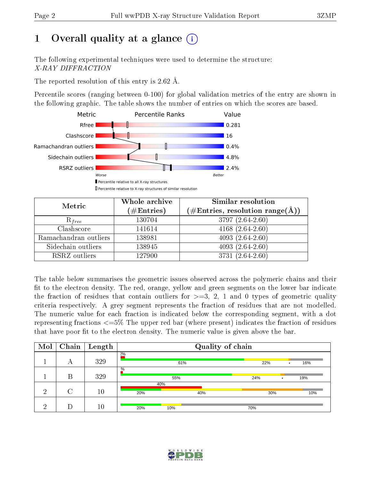# 1 [O](https://www.wwpdb.org/validation/2017/XrayValidationReportHelp#overall_quality)verall quality at a glance  $(i)$

The following experimental techniques were used to determine the structure: X-RAY DIFFRACTION

The reported resolution of this entry is 2.62 Å.

Percentile scores (ranging between 0-100) for global validation metrics of the entry are shown in the following graphic. The table shows the number of entries on which the scores are based.



| Metric                | Whole archive<br>$(\#\mathrm{Entries})$ | Similar resolution<br>$(\#\text{Entries}, \text{resolution range}(\textup{\AA}))$ |
|-----------------------|-----------------------------------------|-----------------------------------------------------------------------------------|
| $R_{free}$            | 130704                                  | 3797 (2.64-2.60)                                                                  |
| Clashscore            | 141614                                  | 4168 $(2.64 - 2.60)$                                                              |
| Ramachandran outliers | 138981                                  | $4093(2.64-2.60)$                                                                 |
| Sidechain outliers    | 138945                                  | $4093(2.64-2.60)$                                                                 |
| RSRZ outliers         | 127900                                  | 3731 (2.64-2.60)                                                                  |

The table below summarises the geometric issues observed across the polymeric chains and their fit to the electron density. The red, orange, yellow and green segments on the lower bar indicate the fraction of residues that contain outliers for  $>=3, 2, 1$  and 0 types of geometric quality criteria respectively. A grey segment represents the fraction of residues that are not modelled. The numeric value for each fraction is indicated below the corresponding segment, with a dot representing fractions <=5% The upper red bar (where present) indicates the fraction of residues that have poor fit to the electron density. The numeric value is given above the bar.

| Mol | Chain | $\vert$ Length | Quality of chain |            |     |     |           |     |
|-----|-------|----------------|------------------|------------|-----|-----|-----------|-----|
|     | А     | 329            | 2%               | 61%        |     | 22% | $\bullet$ | 16% |
|     | В     | 329            | $\%$             | 24%        | ٠   |     | 19%       |     |
| ച   |       | $10\,$         | 20%              | 40%<br>40% |     | 30% |           | 10% |
| ച   |       | 10             | 20%              | 10%        | 70% |     |           |     |

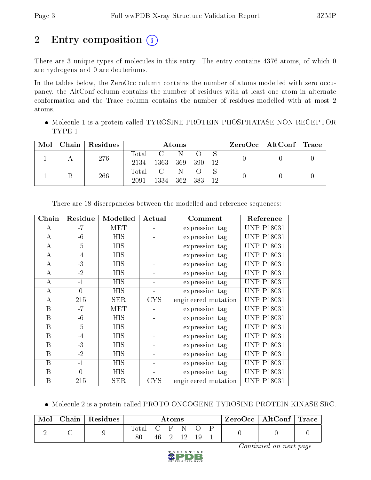# 2 Entry composition  $\left( \cdot \right)$

There are 3 unique types of molecules in this entry. The entry contains 4376 atoms, of which 0 are hydrogens and 0 are deuteriums.

In the tables below, the ZeroOcc column contains the number of atoms modelled with zero occupancy, the AltConf column contains the number of residues with at least one atom in alternate conformation and the Trace column contains the number of residues modelled with at most 2 atoms.

 Molecule 1 is a protein called TYROSINE-PROTEIN PHOSPHATASE NON-RECEPTOR TYPE 1.

| Mol | Chain   Residues | Atoms               |                        |              |       | $\text{ZeroOcc}$   AltConf   Trace |  |  |
|-----|------------------|---------------------|------------------------|--------------|-------|------------------------------------|--|--|
|     | 276              | $\rm Total$<br>2134 | $\mathbf{C}$ .<br>1363 | - N<br>- 369 | - 390 | -12                                |  |  |
|     | 266              | Total<br>2091       | C N<br>1334            | 362 383      |       | - 12                               |  |  |

| Chain | Residue  | Modelled   | Actual     | Comment             | Reference         |
|-------|----------|------------|------------|---------------------|-------------------|
| А     | $-7$     | MET        |            | expression tag      | <b>UNP P18031</b> |
| A     | $-6$     | <b>HIS</b> |            | expression tag      | <b>UNP P18031</b> |
| A     | $-5$     | <b>HIS</b> |            | expression tag      | <b>UNP P18031</b> |
| A     | $-4$     | <b>HIS</b> |            | expression tag      | <b>UNP P18031</b> |
| A     | $-3$     | <b>HIS</b> |            | expression tag      | <b>UNP P18031</b> |
| А     | $-2$     | <b>HIS</b> |            | expression tag      | <b>UNP P18031</b> |
| А     | $-1$     | <b>HIS</b> |            | expression tag      | <b>UNP P18031</b> |
| А     | $\theta$ | <b>HIS</b> |            | expression tag      | <b>UNP P18031</b> |
| А     | 215      | <b>SER</b> | CYS        | engineered mutation | <b>UNP P18031</b> |
| B     | $-7$     | MET        |            | expression tag      | <b>UNP P18031</b> |
| B     | $-6$     | <b>HIS</b> |            | expression tag      | <b>UNP P18031</b> |
| B     | $-5$     | HIS        |            | expression tag      | <b>UNP P18031</b> |
| B     | $-4$     | <b>HIS</b> |            | expression tag      | <b>UNP P18031</b> |
| B     | $-3$     | <b>HIS</b> |            | expression tag      | <b>UNP P18031</b> |
| B     | $-2$     | <b>HIS</b> |            | expression tag      | <b>UNP P18031</b> |
| B     | $-1$     | HIS        |            | expression tag      | UNP P18031        |
| B     | $\Omega$ | <b>HIS</b> |            | expression tag      | <b>UNP P18031</b> |
| B     | 215      | <b>SER</b> | <b>CYS</b> | engineered mutation | <b>UNP P18031</b> |

There are 18 discrepancies between the modelled and reference sequences:

Molecule 2 is a protein called PROTO-ONCOGENE TYROSINE-PROTEIN KINASE SRC.

| $\operatorname{Mol}$ | Chain   Residues | $\rm{Atoms}$ |  |  |         | $\text{ZeroOcc} \mid \text{AltConf} \mid \text{Trace}$ |  |  |
|----------------------|------------------|--------------|--|--|---------|--------------------------------------------------------|--|--|
|                      |                  | $Total \sim$ |  |  | C H N   |                                                        |  |  |
|                      |                  |              |  |  | 46 2 12 |                                                        |  |  |

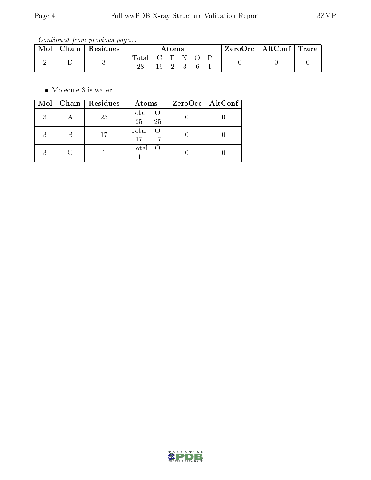Continued from previous page...

| Mol | Chain | Residues | Atoms         |  |  | ZeroOcc   AltConf   Trace |  |  |  |  |
|-----|-------|----------|---------------|--|--|---------------------------|--|--|--|--|
|     |       |          | Total C F N O |  |  | 16 2 3                    |  |  |  |  |

• Molecule 3 is water.

|   | Mol   Chain   Residues | Atoms                            | $ZeroOcc \   \ AltConf \  $ |
|---|------------------------|----------------------------------|-----------------------------|
| २ | 25                     | Total O<br>25 <sub>1</sub><br>25 |                             |
|   | 17                     | Total<br>17<br>17                |                             |
| 2 |                        | Total O                          |                             |

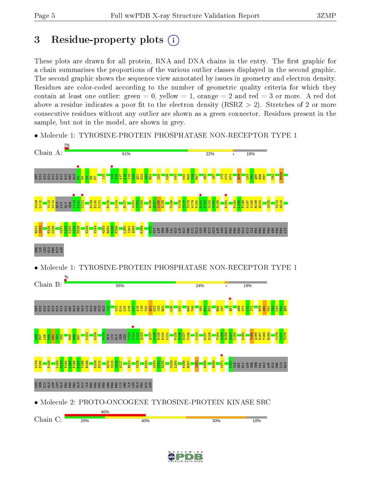# 3 Residue-property plots  $(i)$

These plots are drawn for all protein, RNA and DNA chains in the entry. The first graphic for a chain summarises the proportions of the various outlier classes displayed in the second graphic. The second graphic shows the sequence view annotated by issues in geometry and electron density. Residues are color-coded according to the number of geometric quality criteria for which they contain at least one outlier: green  $= 0$ , yellow  $= 1$ , orange  $= 2$  and red  $= 3$  or more. A red dot above a residue indicates a poor fit to the electron density (RSRZ  $> 2$ ). Stretches of 2 or more consecutive residues without any outlier are shown as a green connector. Residues present in the sample, but not in the model, are shown in grey.



• Molecule 1: TYROSINE-PROTEIN PHOSPHATASE NON-RECEPTOR TYPE 1

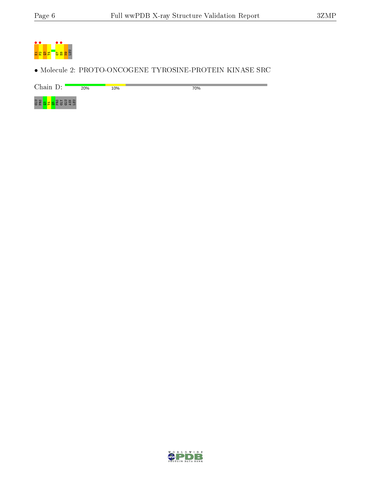

• Molecule 2: PROTO-ONCOGENE TYROSINE-PROTEIN KINASE SRC

Chain D: 20% 10% 70%



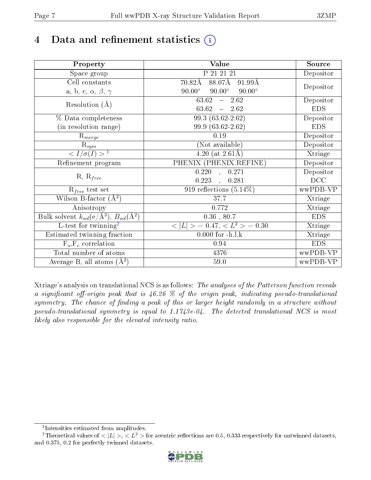# 4 Data and refinement statistics  $(i)$

| Property                                                             | Value                                           | Source     |
|----------------------------------------------------------------------|-------------------------------------------------|------------|
| Space group                                                          | P 21 21 21                                      | Depositor  |
| Cell constants                                                       | 88.07Å<br>$70.82\text{\AA}$<br>91.99Å           |            |
| a, b, c, $\alpha$ , $\beta$ , $\gamma$                               | $90.00^\circ$<br>$90.00^\circ$<br>$90.00^\circ$ | Depositor  |
| Resolution $(A)$                                                     | $63.62 - 2.62$                                  | Depositor  |
|                                                                      | 63.62<br>$-2.62$                                | <b>EDS</b> |
| % Data completeness                                                  | $99.3(63.62-2.62)$                              | Depositor  |
| (in resolution range)                                                | 99.9 (63.62-2.62)                               | <b>EDS</b> |
| $\mathrm{R}_{merge}$                                                 | 0.19                                            | Depositor  |
| $\mathrm{R}_{sym}$                                                   | (Not available)                                 | Depositor  |
| $\sqrt{I/\sigma}(I) > 1$                                             | 4.20 (at $2.61\text{\AA}$ )                     | Xtriage    |
| Refinement program                                                   | PHENIX (PHENIX.REFINE)                          | Depositor  |
|                                                                      | 0.271<br>$\overline{0.220}$ ,                   | Depositor  |
| $R, R_{free}$                                                        | 0.223<br>0.281                                  | DCC        |
| $R_{free}$ test set                                                  | 919 reflections $(5.14\%)$                      | wwPDB-VP   |
| Wilson B-factor $(A^2)$                                              | 37.7                                            | Xtriage    |
| Anisotropy                                                           | 0.772                                           | Xtriage    |
| Bulk solvent $k_{sol}(e/\mathring{A}^3)$ , $B_{sol}(\mathring{A}^2)$ | $\overline{0.36}$ , 80.7                        | <b>EDS</b> |
| $L$ -test for twinning <sup>2</sup>                                  | $< L >$ = 0.47, $< L2 >$ = 0.30                 | Xtriage    |
| Estimated twinning fraction                                          | $0.000$ for $-h, l, k$                          | Xtriage    |
| $F_o, F_c$ correlation                                               | 0.94                                            | <b>EDS</b> |
| Total number of atoms                                                | 4376                                            | wwPDB-VP   |
| Average B, all atoms $(A^2)$                                         | $59.0\,$                                        | wwPDB-VP   |

Xtriage's analysis on translational NCS is as follows: The analyses of the Patterson function reveals a significant off-origin peak that is  $46.26\%$  of the origin peak, indicating pseudo-translational symmetry. The chance of finding a peak of this or larger height randomly in a structure without pseudo-translational symmetry is equal to 1.1743e-04. The detected translational NCS is most likely also responsible for the elevated intensity ratio.

<sup>&</sup>lt;sup>2</sup>Theoretical values of  $\langle |L| \rangle$ ,  $\langle L^2 \rangle$  for acentric reflections are 0.5, 0.333 respectively for untwinned datasets, and 0.375, 0.2 for perfectly twinned datasets.



<span id="page-6-1"></span><span id="page-6-0"></span><sup>1</sup> Intensities estimated from amplitudes.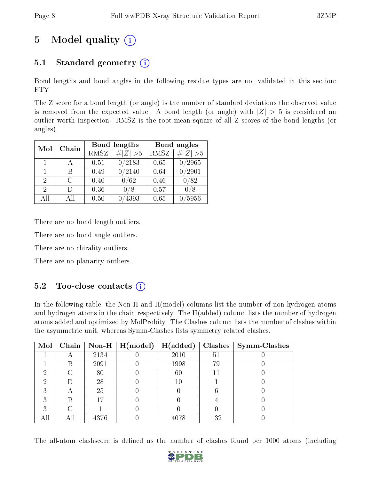# 5 Model quality  $(i)$

# 5.1 Standard geometry  $(i)$

Bond lengths and bond angles in the following residue types are not validated in this section: FTY

The Z score for a bond length (or angle) is the number of standard deviations the observed value is removed from the expected value. A bond length (or angle) with  $|Z| > 5$  is considered an outlier worth inspection. RMSZ is the root-mean-square of all Z scores of the bond lengths (or angles).

| Mol            | Chain |             | Bond lengths  | Bond angles |                    |  |
|----------------|-------|-------------|---------------|-------------|--------------------|--|
|                |       | <b>RMSZ</b> | $\# Z  > 5$   | <b>RMSZ</b> | $\ Z\  > 5$        |  |
| 1              |       | 0.51        | 0/2183        | 0.65        | /2965              |  |
| $\mathbf{1}$   | R     | 0.49        | $\sqrt{2}140$ | 0.64        | $\overline{/2901}$ |  |
| $\overline{2}$ | C     | 0.40        | 0/62          | 0.46        | 0/82               |  |
| 2              | Ð     | 0.36        | /8            | 0.57        |                    |  |
| All            | Αll   | 0.50        | 4393          | 0.65        | $^{\prime}5956$    |  |

There are no bond length outliers.

There are no bond angle outliers.

There are no chirality outliers.

There are no planarity outliers.

### $5.2$  Too-close contacts  $(i)$

In the following table, the Non-H and H(model) columns list the number of non-hydrogen atoms and hydrogen atoms in the chain respectively. The H(added) column lists the number of hydrogen atoms added and optimized by MolProbity. The Clashes column lists the number of clashes within the asymmetric unit, whereas Symm-Clashes lists symmetry related clashes.

| $\text{Mol}$ |   |      | $\mid$ Chain $\mid$ Non-H $\mid$ H(model) | H(added) |     | $Clashes$   Symm-Clashes |
|--------------|---|------|-------------------------------------------|----------|-----|--------------------------|
|              |   | 2134 |                                           | 2010     | 51  |                          |
|              | В | 2091 |                                           | 1998     | 79  |                          |
|              | ⌒ | 80   |                                           | 60       | 11  |                          |
| 6)           |   | 28   |                                           | $10\,$   |     |                          |
|              |   | 25   |                                           |          |     |                          |
| ົ            | R | 17   |                                           |          |     |                          |
|              |   |      |                                           |          |     |                          |
|              |   | 4376 |                                           | 4078     | 132 |                          |

The all-atom clashscore is defined as the number of clashes found per 1000 atoms (including

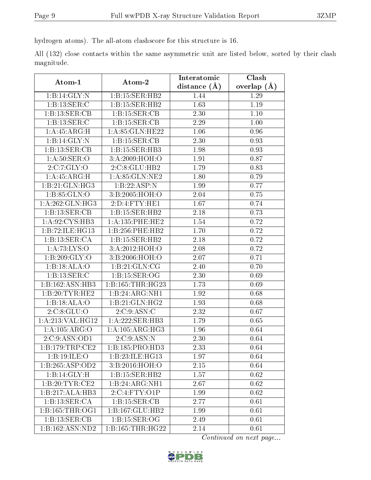hydrogen atoms). The all-atom clashscore for this structure is 16.

All (132) close contacts within the same asymmetric unit are listed below, sorted by their clash magnitude.

| Atom-1                      |                             | Interatomic    | Clash         |
|-----------------------------|-----------------------------|----------------|---------------|
|                             | Atom-2                      | distance $(A)$ | overlap $(A)$ |
| 1:B:14:GLY:N                | 1:B:15:SER:HB2              | 1.44           | 1.29          |
| 1:B:13:SER:C                | 1:B:15:SER:HB2              | 1.63           | 1.19          |
| 1:B:13:SER:CB               | 1: B: 15: SER: CB           | 2.30           | 1.10          |
| 1:B:13:SER:C                | 1:B:15:SER:CB               | 2.29           | 1.00          |
| 1: A: 45: ARG:H             | 1: A:85: GLN:HE22           | 1.06           | 0.96          |
| 1:B:14:GLY:N                | 1:B:15:SER:CB               | 2.30           | 0.93          |
| 1:B:13:SER:CB               | 1:B:15:SER:HB3              | 1.98           | 0.93          |
| 1: A:50: SER:O              | 3:A:2009:HOH:O              | 1.91           | 0.87          |
| 2:C:7:GLY:O                 | 2:C:8:GLU:HB2               | 1.79           | 0.83          |
| 1: A: 45: ARG:H             | 1:A:85:GLN:NE2              | 1.80           | 0.79          |
| $1:B:21:G\overline{LN:HG3}$ | 1:B:22:ASP:N                | 1.99           | 0.77          |
| 1: B: 85: GLN:O             | 3:B:2005:HOH:O              | 2.04           | 0.75          |
| 1:A:262:GLN:HG3             | 2:D:4:FTY:HE1               | 1.67           | 0.74          |
| 1:B:13:SER:CB               | 1:B:15:SER:HB2              | 2.18           | 0.73          |
| 1:A:92:CYS:HB3              | 1: A: 135: PHE: HE2         | 1.54           | 0.72          |
| 1:B:72:ILE:HG13             | 1:B:256:PHE:HB2             | 1.70           | 0.72          |
| 1:B:13:SER:CA               | 1:B:15:SER:HB2              | 2.18           | 0.72          |
| 1: A: 73: LYS: O            | 3:A:2012:HOH:O              | 2.08           | 0.72          |
| 1: B:209: GLY:O             | 3:B:2006:HOH:O              | 2.07           | 0.71          |
| 1:B:3ALA:O                  | 1: B:21: GLN:CG             | 2.40           | 0.70          |
| 1:B:13:SER:C                | 1: B: 15: SER: OG           | 2.30           | 0.69          |
| 1:B:162:ASN:HB3             | 1:B:165:THR:HG23            | 1.73           | 0.69          |
| 1:B:20:TYR:HE2              | 1:B:24:ARG:NH1              | 1.92           | 0.68          |
| 1:B:18:ALA:O                | 1:B:21:GLN:HG2              | 1.93           | 0.68          |
| 2:C:8:GLU:O                 | 2:C:9:ASN:C                 | 2.32           | 0.67          |
| 1:A:213:VAL:HG12            | 1:A:222:SER:HB3             | 1.79           | 0.65          |
| 1:A:105:ARG:O               | 1: A:105: ARG:HG3           | 1.96           | 0.64          |
| 2:C:9:ASN:OD1               | 2:C:9:ASN:N                 | 2.30           | 0.64          |
| 1:B:179:TRP:CE2             | 1:B:185:PRO:HD3             | 2.33           | 0.64          |
| 1:B:19:ILE:O                | 1:B:23:ILE:HG13             | 1.97           | 0.64          |
| 1:B:265:ASP:OD2             | 3:B:2016:HOH:O              | 2.15           | 0.64          |
| 1:B:14:GLY:H                | $1:B:15:SER:H\overline{B2}$ | 1.57           | 0.62          |
| 1:B:20:TYR:CE2              | 1:B:24:ARG:NH1              | 2.67           | 0.62          |
| 1:B:217:ALA:HB3             | 2:C:4:FTY:O1P               | 1.99           | 0.62          |
| 1:B:13:SER:CA               | 1: B: 15: SER: CB           | 2.77           | 0.61          |
| 1: B: 165: THR: OG1         | 1:B:167:GLU:HB2             | 1.99           | 0.61          |
| 1:B:13:SER:CB               | 1: B: 15: SER: OG           | 2.49           | 0.61          |
| 1:B:162:ASN:ND2             | 1:B:165:THR:HG22            | 2.14           | 0.61          |

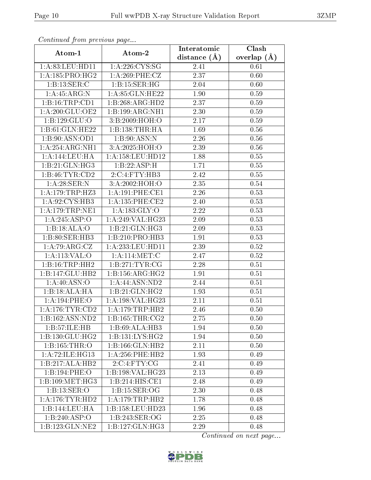| Continuea from previous page                                                             |                                     | Interatomic    | Clash         |  |
|------------------------------------------------------------------------------------------|-------------------------------------|----------------|---------------|--|
| Atom-1                                                                                   | Atom-2                              | distance $(A)$ | overlap $(A)$ |  |
| 1:A:83:LEU:HD11                                                                          | 1:A:226:CYS:SG                      | 2.41           | 0.61          |  |
| 1:A:185:PRO:HG2                                                                          | 1: A:269: PHE: CZ                   | 2.37           | 0.60          |  |
| 1:B:13:SER:C                                                                             | 1:B:15:SER:HG                       | 2.04           | 0.60          |  |
| 1: A:45: ARG: N                                                                          | 1: A:85: GLN:HE22                   | 1.90           | 0.59          |  |
| 1:B:16:TRP:CD1                                                                           | 1:B:268:ARG:HD2                     | 2.37           | 0.59          |  |
| 1:A:200:GLU:OE2                                                                          | 1:B:199:ARG:NH1                     | 2.30           | 0.59          |  |
| 1:B:129:GLU:O                                                                            | 3:B:2009:HOH:O                      | 2.17           | 0.59          |  |
| 1:B:61:GLN:HE22                                                                          | 1:B:138:THR:HA                      | 1.69           | 0.56          |  |
| 1:B:90:ASN:OD1                                                                           | 1:B:90:ASN:N                        | 2.26           | 0.56          |  |
| 1:A:254:ARG:NH1                                                                          | 3:A:2025:HOH:O                      | 2.39           | $0.56\,$      |  |
| 1:A:144:LEU:HA                                                                           | 1: A: 158: LEU: HD12                | 1.88           | 0.55          |  |
| 1:B:21:GLN:HG3                                                                           | 1:B:22:ASP:H                        | 1.71           | 0.55          |  |
| 1:B:46:TYR:CD2                                                                           | 2:C:4:FTY:HB3                       | 2.42           | 0.55          |  |
| 1: A:28: SER: N                                                                          | 3:A:2002:HOH:O                      | 2.35           | 0.54          |  |
| 1:A:179:TRP:HZ3                                                                          | 1:A:191:PHE:CE1                     | 2.26           | 0.53          |  |
| 1:A:92:CYS:HB3                                                                           | 1: A: 135: PHE: CE2                 | 2.40           | 0.53          |  |
| 1:A:179:TRP:NE1                                                                          | 1: A: 183: GLY: O                   | 2.22           | 0.53          |  |
| 1:A:245:ASP:O                                                                            | 1:A:249:VAL:HG23                    | 2.09           | 0.53          |  |
| 1:B:3ALA:O                                                                               | 1:B:21:GLN:HG3                      | 2.09           | 0.53          |  |
| 1:B:80:SER:HB3                                                                           | 1:B:210:PRO:HB3                     | 1.91           | 0.53          |  |
| 1:A:79:ARG:CZ                                                                            | 1:A:233:LEU:HD11                    | 2.39           | 0.52          |  |
| 1:A:113:VAL:O                                                                            | 1: A:114: MET:C                     | 2.47           | 0.52          |  |
| 1:B:16:TRP:HH2                                                                           | 1:B:271:TYR:CG                      | 2.28           | 0.51          |  |
| 1:B:147:GLU:HB2                                                                          | 1: B: 156: ARG: HG2                 | 1.91           | 0.51          |  |
| 1:A:40:ASN:O                                                                             | 1: A:44: ASN:ND2                    | 2.44           | 0.51          |  |
| 1:B:18:ALA:HA                                                                            | 1:B:21:GLN:HG2                      | 1.93           | 0.51          |  |
| 1:A:194:PHE:O                                                                            | 1:A:198:VAL:HG23                    | 2.11           | 0.51          |  |
| $1:\stackrel{\textstyle\mathbf{A}}{1}:176:\textstyle\mathbf{TYR}:\textstyle\mathbf{CD2}$ | 1: A:179:TRP:HB2                    | 2.46           | 0.50          |  |
| 1:B:162:ASN:ND2                                                                          | 1: B: 165: THR: CG2                 | 2.75           | 0.50          |  |
| 1:B:57:ILE:HB                                                                            | 1:B:69:ALLA:HB3                     | 1.94           | 0.50          |  |
| 1: B: 130: GLU: HG2                                                                      | 1: B: 131: LYS: HG2                 | 1.94           | 0.50          |  |
| 1:B:165:THR:O                                                                            | 1:B:166:GLN:HB2                     | 2.11           | 0.50          |  |
| 1: A:72: ILE: HG13                                                                       | $1: A:256:$ PHE:HB2                 | 1.93           | 0.49          |  |
| 1:B:217:ALA:HB2                                                                          | 2:C:4:FTY:CG                        | 2.41           | 0.49          |  |
| 1:B:194:PHE:O                                                                            | 1:B:198:VAL:HG23                    | 2.13           | 0.49          |  |
| 1:B:109:MET:HG3                                                                          | $1:B:214:\overline{\text{HIS:CE1}}$ | 2.48           | 0.49          |  |
| 1:B:13:SER:O                                                                             | 1: B: 15: SER: OG                   | 2.30           | 0.48          |  |
| 1: A:176:TYR:HD2                                                                         | 1: A:179:TRP:HB2                    | 1.78           | 0.48          |  |
| 1:B:144:LEU:HA                                                                           | 1:B:158:LEU:HD23                    | 1.96           | 0.48          |  |
| 1:B:240:ASP:O                                                                            | 1:B:243:SER:OG                      | 2.25           | 0.48          |  |
| 1:B:123:GLN:NE2                                                                          | 1:B:127:GLN:HG3                     | 2.29           | 0.48          |  |

Continued from previous page.

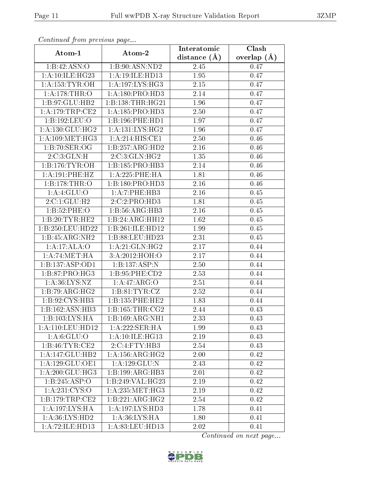| Continuea jioin pievivus page       |                     | Interatomic    | Clash         |
|-------------------------------------|---------------------|----------------|---------------|
| Atom-1                              | Atom-2              | distance $(A)$ | overlap $(A)$ |
| 1:B:42:ASN:O                        | 1:B:90:ASN:ND2      | 2.45           | 0.47          |
| 1:A:10:ILE:HG23                     | 1:A:19:ILE:HD13     | 1.95           | 0.47          |
| 1: A: 153: TYR: OH                  | 1: A: 197: LYS: HG3 | 2.15           | 0.47          |
| 1: A:178:THR:O                      | 1: A: 180: PRO: HD3 | 2.14           | 0.47          |
| 1:B:97:GLU:HB2                      | 1:B:138:THR:HG21    | 1.96           | 0.47          |
| 1: A:179:TRP:CE2                    | 1: A: 185: PRO: HD3 | 2.50           | 0.47          |
| 1:B:192:LEU:O                       | 1:B:196:PHE:HD1     | 1.97           | 0.47          |
| 1: A: 130: GLU: HG2                 | 1:A:131:LYS:HG2     | 1.96           | 0.47          |
| 1: A:109:MET:HG3                    | 1: A:214: HIS: CE1  | 2.50           | 0.46          |
| 1:B:70:SER:OG                       | 1:B:257:ARG:HD2     | 2.16           | 0.46          |
| 2:C:3:GLN:H                         | 2:C:3:GLN:HG2       | 1.35           | 0.46          |
| 1: B: 176: TYR: OH                  | 1:B:185:PRO:HB3     | 2.14           | 0.46          |
| 1:A:191:PHE:HZ                      | 1:A:225:PHE:HA      | 1.81           | 0.46          |
| 1:B:178:THR:O                       | 1:B:180:PRO:HD3     | 2.16           | 0.46          |
| 1:A:4:GLU:O                         | 1:A:7:PHE:HB3       | 2.16           | 0.45          |
| 2:C:1:GLU:H2                        | 2:C:2:PRO:HD3       | 1.81           | 0.45          |
| 1:B:52:PHE:O                        | 1:B:56:ARG:HB3      | 2.16           | 0.45          |
| 1:B:20:TYR:HE2                      | 1:B:24:ARG:HH12     | 1.62           | 0.45          |
| 1:B:250:LEU:HD22                    | 1:B:261:ILE:HD12    | 1.99           | 0.45          |
| 1:B:45:ARG:NH2                      | 1:B:88:LEU:HD23     | 2.31           | 0.45          |
| 1:A:17:ALA:O                        | 1: A:21: GLN: HG2   | 2.17           | 0.44          |
| 1:A:74:MET:HA                       | 3:A:2012:HOH:O      | 2.17           | 0.44          |
| 1:B:137:ASP:OD1                     | 1:B:137:ASP:N       | 2.50           | 0.44          |
| 1:B:87:PRO:HG3                      | 1: B:95: PHE:CD2    | 2.53           | 0.44          |
| 1: A:36: LYS: NZ                    | 1:A:47:ARG:O        | 2.51           | 0.44          |
| 1:B:79:ARG:HG2                      | 1: B:81: TYR: CZ    | 2.52           | 0.44          |
| 1:B:92:CYS:HB3                      | 1:B:135:PHE:HE2     | 1.83           | 0.44          |
| 1:B:162:ASN:HB3                     | 1: B: 165: THR: CG2 | 2.44           | 0.43          |
| 1:B:103:LYS:HA                      | 1:B:169:ARG:NH1     | 2.33           | 0.43          |
| 1:A:110:LEU:HD12                    | 1:A:222:SER:HA      | 1.99           | 0.43          |
| 1: A:6: GLU:O                       | 1: A:10: ILE: HG13  | 2.19           | 0.43          |
| 1:B:46:TYR:CE2                      | 2:C:4:FTY:HB3       | 2.54           | 0.43          |
| 1:A:147:GLU:HB2                     | 1: A:156: ARG:HG2   | 2.00           | 0.42          |
| 1:A:129:GLU:OE1                     | 1: A: 129: GLU:N    | 2.43           | 0.42          |
| 1: A:200: GLU:HG3                   | 1:B:199:ARG:HB3     | 2.01           | 0.42          |
| 1:B:245:ASP:O                       | 1:B:249:VAL:HG23    | 2.19           | 0.42          |
| 1:A:231:CYS:O                       | 1: A: 235: MET:HG3  | 2.19           | 0.42          |
| 1: B: 179: TRP: CE2                 | 1:B:221:ARG:HG2     | 2.54           | 0.42          |
| 1:A:197:LYS:HA                      | 1:A:197:LYS:HD3     | 1.78           | 0.41          |
| 1:A:36:LYS:HD2                      | 1: A:36: LYS: HA    | 1.80           | 0.41          |
| $1:A:72:\overline{\text{ILE:HD13}}$ | 1:A:83:LEU:HD13     | 2.02           | 0.41          |

Continued from previous page.

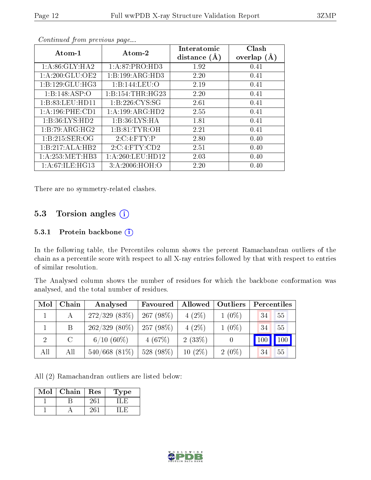| Atom-1              | Atom-2            | Interatomic<br>distance $(A)$ | Clash<br>overlap $(A)$ |
|---------------------|-------------------|-------------------------------|------------------------|
| 1: A:86: GLY:HA2    | 1:A:87:PRO:HD3    | 1.92                          | 0.41                   |
| 1: A:200: GLU:OE2   | 1:B:199:ARG:HD3   | 2.20                          | 0.41                   |
| 1: B: 129: GLU: HG3 | 1:B:144:LEU:O     | 2.19                          | 0.41                   |
| 1:B:148:ASP:O       | 1:B:154:THR:HG23  | 2.20                          | 0.41                   |
| 1:B:83:LEU:HD11     | 1: B: 226: CYS:SG | 2.61                          | 0.41                   |
| 1: A:196:PHE:CD1    | 1:A:199:ARG:HD2   | 2.55                          | 0.41                   |
| 1:B:36:LYS:HD2      | 1:B:36:LYS:HA     | 1.81                          | 0.41                   |
| 1:B:79:ARG:HG2      | 1: B:81: TYR:OH   | 2.21                          | 0.41                   |
| 1:B:215:SER:OG      | 2:C:4:FTY:P       | 2.80                          | 0.40                   |
| 1:B:217:ALA:HB2     | 2:C:4:FTY:CD2     | 2.51                          | 0.40                   |
| 1: A:253:MET:HB3    | 1: A:260:LEU:HD12 | 2.03                          | 0.40                   |
| 1: A:67: ILE: HG13  | 3:A:2006:HOH:O    | 2.20                          | 0.40                   |

Continued from previous page...

There are no symmetry-related clashes.

### 5.3 Torsion angles (i)

#### 5.3.1 Protein backbone (i)

In the following table, the Percentiles column shows the percent Ramachandran outliers of the chain as a percentile score with respect to all X-ray entries followed by that with respect to entries of similar resolution.

The Analysed column shows the number of residues for which the backbone conformation was analysed, and the total number of residues.

| Mol            | Chain   | Analysed         | Favoured     | Allowed   | Outliers | Percentiles       |
|----------------|---------|------------------|--------------|-----------|----------|-------------------|
|                |         | $272/329$ (83\%) | $267(98\%)$  | $4(2\%)$  | $1(0\%)$ | 55<br>34          |
|                | B       | $262/329(80\%)$  | $257(98\%)$  | $4(2\%)$  | $1(0\%)$ | 55<br>34          |
| $\overline{2}$ | $\rm C$ | $6/10(60\%)$     | 4(67%)       | 2(33%)    |          | $100 \mid$<br>100 |
| All            | All     | $540/668$ (81\%) | 528 $(98\%)$ | $10(2\%)$ | $2(0\%)$ | 55<br>34          |

All (2) Ramachandran outliers are listed below:

| Mol | Chain | Res | Type |
|-----|-------|-----|------|
|     |       | 261 |      |
|     |       | 261 |      |

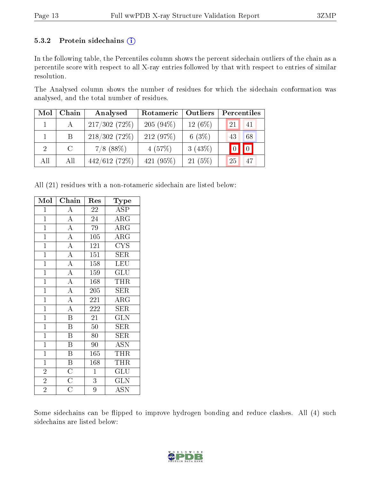#### 5.3.2 Protein sidechains  $(i)$

In the following table, the Percentiles column shows the percent sidechain outliers of the chain as a percentile score with respect to all X-ray entries followed by that with respect to entries of similar resolution.

The Analysed column shows the number of residues for which the sidechain conformation was analysed, and the total number of residues.

| Mol | Chain   | Analysed     | Rotameric<br>Outliers |           | Percentiles                        |  |  |
|-----|---------|--------------|-----------------------|-----------|------------------------------------|--|--|
|     |         | 217/302(72%) | $205(94\%)$           | $12(6\%)$ | 41<br>21                           |  |  |
|     | Β       | 218/302(72%) | 212(97%)              | 6 $(3%)$  | 68<br>43                           |  |  |
|     | $\rm C$ | $7/8$ (88%)  | 4(57%)                | 3(43%)    | $\vert 0 \vert$<br>$\vert 0 \vert$ |  |  |
| All | All     | 442/612(72%) | 421 $(95%)$           | 21(5%)    | 25<br>47                           |  |  |

All (21) residues with a non-rotameric sidechain are listed below:

| Mol            | Chain                               | Res              | Type                      |
|----------------|-------------------------------------|------------------|---------------------------|
| $\mathbf 1$    | $\overline{A}$                      | 22               | ASP                       |
| $\mathbf{1}$   | $\frac{1}{\overline{A}}$            | 24               | $\rm{ARG}$                |
| $\overline{1}$ | $\frac{1}{\overline{A}}$            | 79               | $\overline{\rm ARG}$      |
| $\overline{1}$ | $\overline{A}$                      | $\overline{105}$ | $\overline{\text{ARG}}$   |
| $\overline{1}$ | $\overline{A}$                      | 121              | <b>CYS</b>                |
| $\overline{1}$ | $\overline{A}$                      | 151              | SER                       |
| $\mathbf{1}$   | $\frac{\overline{A}}{\overline{A}}$ | $\overline{1}58$ | LEU                       |
| $\overline{1}$ |                                     | 159              | $\overline{\mathrm{GLU}}$ |
| $\overline{1}$ |                                     | 168              | THR                       |
| $\overline{1}$ | $\overline{A}$                      | 205              | <b>SER</b>                |
| $\overline{1}$ | $\frac{\overline{A}}{\overline{A}}$ | 221              | $\overline{\text{ARG}}$   |
| $\overline{1}$ |                                     | 222              | <b>SER</b>                |
| $\overline{1}$ | $\frac{1}{B}$                       | $\overline{21}$  | $\overline{\text{GLN}}$   |
| $\overline{1}$ | $\overline{\mathbf{B}}$             | 50               | <b>SER</b>                |
| $\overline{1}$ | $\overline{\mathrm{B}}$             | 80               | SER                       |
| $\overline{1}$ | $\overline{\mathrm{B}}$             | 90               | <b>ASN</b>                |
| $\overline{1}$ | $\overline{\mathrm{B}}$             | 165              | <b>THR</b>                |
| $\overline{1}$ |                                     | 168              | THR                       |
| $\overline{2}$ | $\frac{\overline{B}}{\overline{C}}$ | $\mathbf{1}$     | GLU                       |
| $\overline{2}$ |                                     | $\overline{3}$   | $\overline{\text{GLN}}$   |
| $\overline{2}$ | $\overline{\rm C}$                  | $\overline{9}$   | $\overline{\mathrm{ASN}}$ |

Some sidechains can be flipped to improve hydrogen bonding and reduce clashes. All (4) such sidechains are listed below:

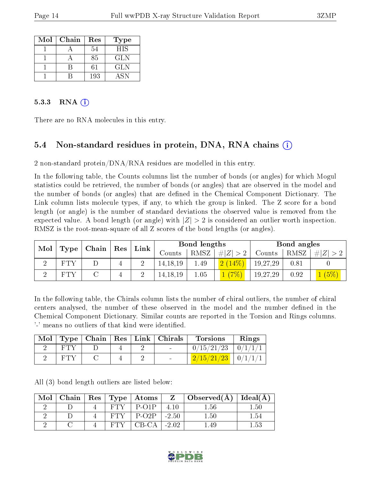| Mol | Chain | Res | <b>Type</b> |
|-----|-------|-----|-------------|
|     |       | 54  | <b>HIS</b>  |
|     |       | 85  | GLN         |
|     |       | 61  | <b>GLN</b>  |
|     |       | 193 | A SN        |

#### 5.3.3 RNA  $(i)$

There are no RNA molecules in this entry.

### 5.4 Non-standard residues in protein, DNA, RNA chains (i)

2 non-standard protein/DNA/RNA residues are modelled in this entry.

In the following table, the Counts columns list the number of bonds (or angles) for which Mogul statistics could be retrieved, the number of bonds (or angles) that are observed in the model and the number of bonds (or angles) that are dened in the Chemical Component Dictionary. The Link column lists molecule types, if any, to which the group is linked. The Z score for a bond length (or angle) is the number of standard deviations the observed value is removed from the expected value. A bond length (or angle) with  $|Z| > 2$  is considered an outlier worth inspection. RMSZ is the root-mean-square of all Z scores of the bond lengths (or angles).

| Mol | $\perp$ Type $\parallel$ Chain $\parallel$ Res $\perp$ |  | Link        | Bond lengths |            |      | Bond angles |          |      |            |
|-----|--------------------------------------------------------|--|-------------|--------------|------------|------|-------------|----------|------|------------|
|     |                                                        |  |             |              | Counts     | RMSZ | # $ Z  > 2$ | Counts   | RMSZ | Z <br>#    |
|     | FT Y                                                   |  |             |              | 14, 18, 19 | 1.49 | (2(14%)     | 19,27,29 | 0.81 |            |
|     | FT Y                                                   |  | $\mathbf 4$ |              | 14, 18, 19 | 1.05 |             | 19,27,29 | 0.92 | (5%)<br>T. |

In the following table, the Chirals column lists the number of chiral outliers, the number of chiral centers analysed, the number of these observed in the model and the number defined in the Chemical Component Dictionary. Similar counts are reported in the Torsion and Rings columns. '-' means no outliers of that kind were identified.

| Mol |  |  | $\top$ Type   Chain   Res   Link   Chirals | <b>Torsions</b>         | Rings          |
|-----|--|--|--------------------------------------------|-------------------------|----------------|
|     |  |  | <b>Contract Contract Contract</b>          | 0/15/21/23              | $\mid 0/1/1/1$ |
|     |  |  | $\sim$                                     | $2/15/21/23$   $0/1/1/$ |                |

All (3) bond length outliers are listed below:

| Mol |  | Chain   Res   Type   Atoms |         | $\overline{\phantom{a}}$ Observed(A) | Ideal(A)               |
|-----|--|----------------------------|---------|--------------------------------------|------------------------|
|     |  | $P$ -O1 $P$                | 4.10    | -56                                  | $\mathord{\text{.50}}$ |
|     |  | $P-O2P$                    | $-2.50$ | $1.50\,$                             | - 54                   |
|     |  | 'B-CA'                     | $-2.02$ |                                      |                        |

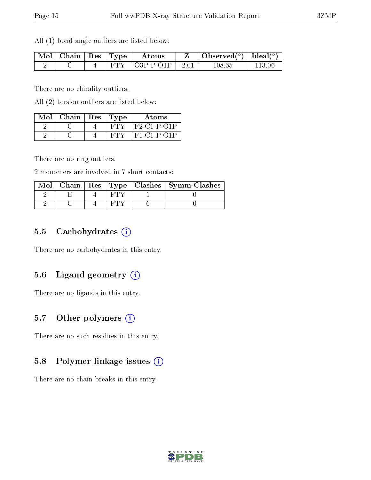All (1) bond angle outliers are listed below:

|  |  | $\mid$ Mol $\mid$ Chain $\mid$ Res $\mid$ Type $\mid$ Atoms | Observed $(^\circ)$   Ideal $(^\circ)$ |            |
|--|--|-------------------------------------------------------------|----------------------------------------|------------|
|  |  | FTY $\vert$ O3P-P-O1P $\vert$ -2.01                         | 108.55                                 | - 113 06 - |

There are no chirality outliers.

All (2) torsion outliers are listed below:

| Mol | Chain | Res | 'Type | Atoms         |
|-----|-------|-----|-------|---------------|
|     |       |     |       | $F2 Cl-P-O1P$ |
|     |       |     |       | $F1-C1-P-O1P$ |

There are no ring outliers.

2 monomers are involved in 7 short contacts:

|  |  | Mol   Chain   Res   Type   Clashes   Symm-Clashes |
|--|--|---------------------------------------------------|
|  |  |                                                   |
|  |  |                                                   |

#### 5.5 Carbohydrates  $(i)$

There are no carbohydrates in this entry.

### 5.6 Ligand geometry  $(i)$

There are no ligands in this entry.

### 5.7 [O](https://www.wwpdb.org/validation/2017/XrayValidationReportHelp#nonstandard_residues_and_ligands)ther polymers (i)

There are no such residues in this entry.

#### 5.8 Polymer linkage issues (i)

There are no chain breaks in this entry.

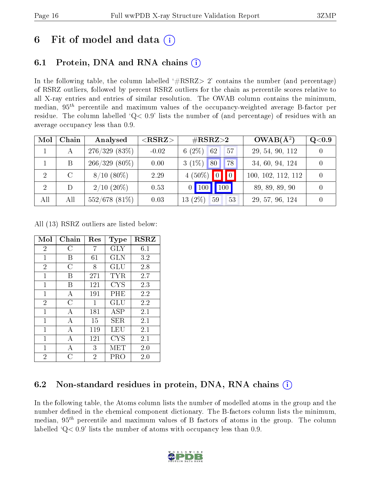# 6 Fit of model and data  $\left( \cdot \right)$

# 6.1 Protein, DNA and RNA chains (i)

In the following table, the column labelled  $#RSRZ>2'$  contains the number (and percentage) of RSRZ outliers, followed by percent RSRZ outliers for the chain as percentile scores relative to all X-ray entries and entries of similar resolution. The OWAB column contains the minimum, median,  $95<sup>th</sup>$  percentile and maximum values of the occupancy-weighted average B-factor per residue. The column labelled ' $Q< 0.9$ ' lists the number of (and percentage) of residues with an average occupancy less than 0.9.

| Mol            | Chain | Analysed        | ${ <\hspace{-1.5pt}{\mathrm{RSRZ}} \hspace{-1.5pt}>}$ | $\rm \#RSRZ{>}2$                   | $OWAB(A^2)$        | Q <sub>0.9</sub> |
|----------------|-------|-----------------|-------------------------------------------------------|------------------------------------|--------------------|------------------|
|                | А     | 276/329(83%)    | $-0.02$                                               | 6 $(2\%)$<br>62<br>57              | 29, 54, 90, 112    |                  |
|                | B     | $266/329(80\%)$ | 0.00                                                  | $3(1\%)$<br>80<br>78               | 34, 60, 94, 124    |                  |
| $\overline{2}$ | C     | $8/10(80\%)$    | 2.29                                                  | $4(50\%)$ 0 0 0                    | 100, 102, 112, 112 |                  |
| 2              |       | $2/10$ $(20\%)$ | 0.53                                                  | $\vert$ 100 $\vert$<br>$\vert$ 100 | 89, 89, 89, 90     |                  |
| All            | All   | $552/678$ (81%) | 0.03                                                  | $(2\%)$<br>59<br>53<br>13          | 29, 57, 96, 124    |                  |

All (13) RSRZ outliers are listed below:

| Mol            | Chain | Res            | Type                 | <b>RSRZ</b> |
|----------------|-------|----------------|----------------------|-------------|
| $\overline{2}$ | С     | 7              | GLY                  | 6.1         |
| $\mathbf{1}$   | В     | 61             | GLN                  | 3.2         |
| $\overline{2}$ | С     | 8              | $\operatorname{GLU}$ | 2.8         |
| $\mathbf{1}$   | В     | 271            | TYR                  | 2.7         |
| 1              | В     | 121            | CYS                  | 2.3         |
| $\mathbf{1}$   | А     | 191            | $\rm PHE$            | 2.2         |
| $\overline{2}$ | С     | 1              | GLU                  | 2.2         |
| $\mathbf{1}$   | А     | 181            | ASP                  | 2.1         |
| $\mathbf{1}$   | А     | 15             | SER                  | 2.1         |
| 1              | A     | 119            | LEU                  | 2.1         |
| $\mathbf{1}$   | А     | 121            | CYS                  | 2.1         |
| 1              | А     | 3              | MET                  | 2.0         |
| 2              | C     | $\overline{2}$ | PRO                  | 2.0         |

## 6.2 Non-standard residues in protein, DNA, RNA chains  $(i)$

In the following table, the Atoms column lists the number of modelled atoms in the group and the number defined in the chemical component dictionary. The B-factors column lists the minimum, median,  $95<sup>th</sup>$  percentile and maximum values of B factors of atoms in the group. The column labelled  $Q< 0.9$ ' lists the number of atoms with occupancy less than 0.9.